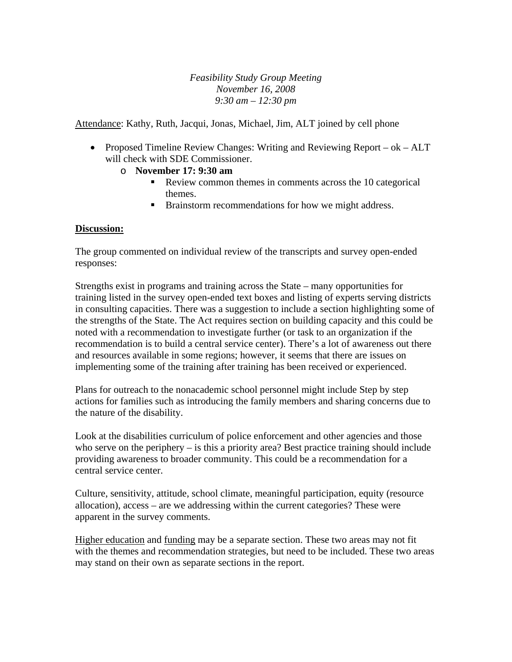*Feasibility Study Group Meeting November 16, 2008 9:30 am – 12:30 pm* 

Attendance: Kathy, Ruth, Jacqui, Jonas, Michael, Jim, ALT joined by cell phone

• Proposed Timeline Review Changes: Writing and Reviewing Report – ok – ALT will check with SDE Commissioner.

## o **November 17: 9:30 am**

- Review common themes in comments across the 10 categorical themes.
- **Brainstorm recommendations for how we might address.**

## **Discussion:**

The group commented on individual review of the transcripts and survey open-ended responses:

Strengths exist in programs and training across the State – many opportunities for training listed in the survey open-ended text boxes and listing of experts serving districts in consulting capacities. There was a suggestion to include a section highlighting some of the strengths of the State. The Act requires section on building capacity and this could be noted with a recommendation to investigate further (or task to an organization if the recommendation is to build a central service center). There's a lot of awareness out there and resources available in some regions; however, it seems that there are issues on implementing some of the training after training has been received or experienced.

Plans for outreach to the nonacademic school personnel might include Step by step actions for families such as introducing the family members and sharing concerns due to the nature of the disability.

Look at the disabilities curriculum of police enforcement and other agencies and those who serve on the periphery – is this a priority area? Best practice training should include providing awareness to broader community. This could be a recommendation for a central service center.

Culture, sensitivity, attitude, school climate, meaningful participation, equity (resource allocation), access – are we addressing within the current categories? These were apparent in the survey comments.

Higher education and funding may be a separate section. These two areas may not fit with the themes and recommendation strategies, but need to be included. These two areas may stand on their own as separate sections in the report.